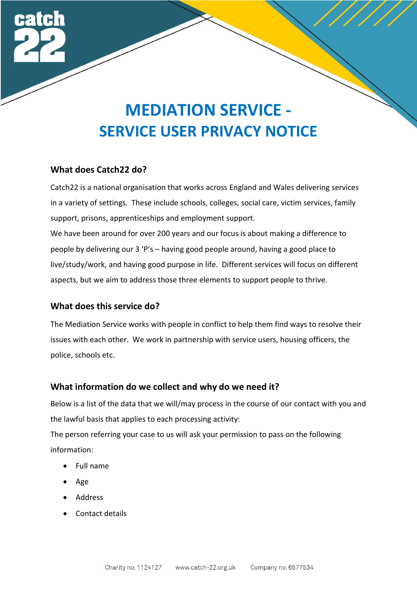

#### **What does Catch22 do?**

Catch22 is a national organisation that works across England and Wales delivering services in a variety of settings. These include schools, colleges, social care, victim services, family support, prisons, apprenticeships and employment support. We have been around for over 200 years and our focus is about making a difference to people by delivering our 3 'P's – having good people around, having a good place to live/study/work, and having good purpose in life. Different services will focus on different aspects, but we aim to address those three elements to support people to thrive.

#### **What does this service do?**

The Mediation Service works with people in conflict to help them find ways to resolve their issues with each other. We work in partnership with service users, housing officers, the police, schools etc.

# **What information do we collect and why do we need it?**

Below is a list of the data that we will/may process in the course of our contact with you and the lawful basis that applies to each processing activity:

The person referring your case to us will ask your permission to pass on the following information:

- Full name
- Age
- Address
- Contact details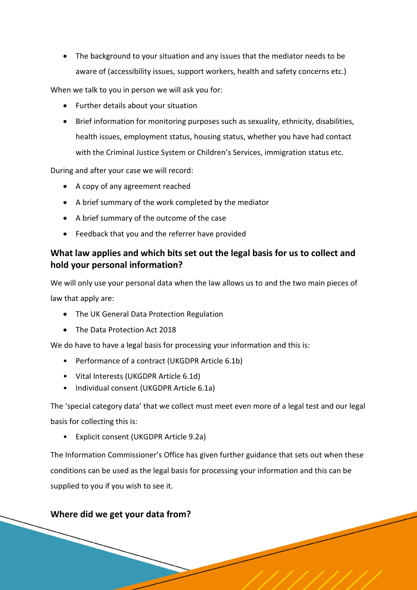• The background to your situation and any issues that the mediator needs to be aware of (accessibility issues, support workers, health and safety concerns etc.)

When we talk to you in person we will ask you for:

- Further details about your situation
- Brief information for monitoring purposes such as sexuality, ethnicity, disabilities, health issues, employment status, housing status, whether you have had contact with the Criminal Justice System or Children's Services, immigration status etc.

During and after your case we will record:

- A copy of any agreement reached
- A brief summary of the work completed by the mediator
- A brief summary of the outcome of the case
- Feedback that you and the referrer have provided

# **What law applies and which bits set out the legal basis for us to collect and hold your personal information?**

We will only use your personal data when the law allows us to and the two main pieces of law that apply are:

- The UK General Data Protection Regulation
- The Data Protection Act 2018

We do have to have a legal basis for processing your information and this is:

- Performance of a contract (UKGDPR Article 6.1b)
- Vital Interests (UKGDPR Article 6.1d)
- Individual consent (UKGDPR Article 6.1a)

The 'special category data' that we collect must meet even more of a legal test and our legal basis for collecting this is:

• Explicit consent (UKGDPR Article 9.2a)

The Information Commissioner's Office has given further guidance that sets out when these conditions can be used as the legal basis for processing your information and this can be supplied to you if you wish to see it.

# **Where did we get your data from?**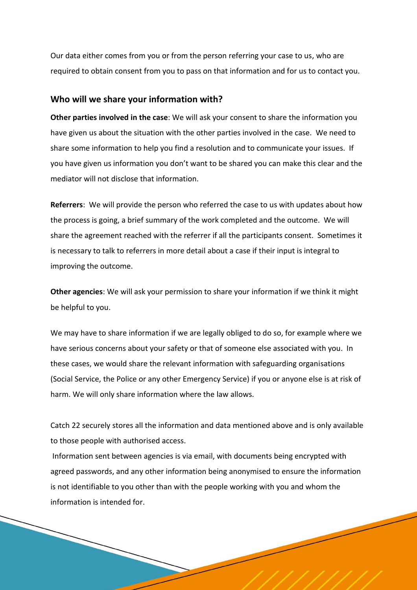Our data either comes from you or from the person referring your case to us, who are required to obtain consent from you to pass on that information and for us to contact you.

#### **Who will we share your information with?**

**Other parties involved in the case**: We will ask your consent to share the information you have given us about the situation with the other parties involved in the case. We need to share some information to help you find a resolution and to communicate your issues. If you have given us information you don't want to be shared you can make this clear and the mediator will not disclose that information.

**Referrers**: We will provide the person who referred the case to us with updates about how the process is going, a brief summary of the work completed and the outcome. We will share the agreement reached with the referrer if all the participants consent. Sometimes it is necessary to talk to referrers in more detail about a case if their input is integral to improving the outcome.

**Other agencies**: We will ask your permission to share your information if we think it might be helpful to you.

We may have to share information if we are legally obliged to do so, for example where we have serious concerns about your safety or that of someone else associated with you. In these cases, we would share the relevant information with safeguarding organisations (Social Service, the Police or any other Emergency Service) if you or anyone else is at risk of harm. We will only share information where the law allows.

Catch 22 securely stores all the information and data mentioned above and is only available to those people with authorised access.

Information sent between agencies is via email, with documents being encrypted with agreed passwords, and any other information being anonymised to ensure the information is not identifiable to you other than with the people working with you and whom the information is intended for.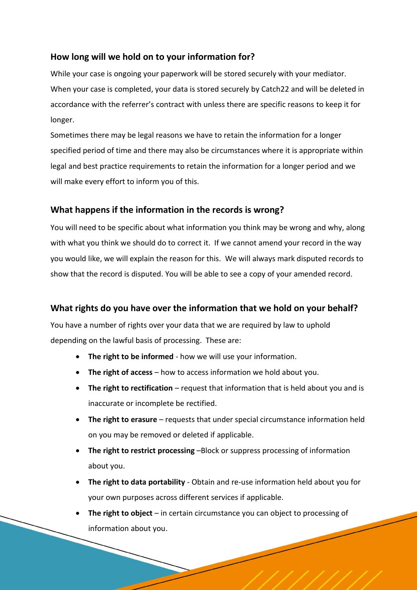# **How long will we hold on to your information for?**

While your case is ongoing your paperwork will be stored securely with your mediator. When your case is completed, your data is stored securely by Catch22 and will be deleted in accordance with the referrer's contract with unless there are specific reasons to keep it for longer.

Sometimes there may be legal reasons we have to retain the information for a longer specified period of time and there may also be circumstances where it is appropriate within legal and best practice requirements to retain the information for a longer period and we will make every effort to inform you of this.

# **What happens if the information in the records is wrong?**

You will need to be specific about what information you think may be wrong and why, along with what you think we should do to correct it. If we cannot amend your record in the way you would like, we will explain the reason for this. We will always mark disputed records to show that the record is disputed. You will be able to see a copy of your amended record.

# **What rights do you have over the information that we hold on your behalf?**

You have a number of rights over your data that we are required by law to uphold depending on the lawful basis of processing. These are:

- **The right to be informed** how we will use your information.
- **The right of access** how to access information we hold about you.
- **The right to rectification** request that information that is held about you and is inaccurate or incomplete be rectified.
- **The right to erasure** requests that under special circumstance information held on you may be removed or deleted if applicable.
- **The right to restrict processing** –Block or suppress processing of information about you.
- **The right to data portability** Obtain and re-use information held about you for your own purposes across different services if applicable.
- **The right to object** in certain circumstance you can object to processing of information about you.